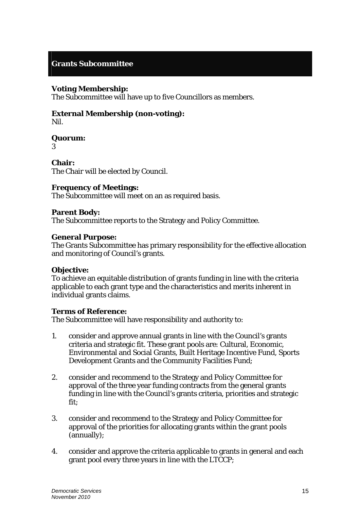# **Grants Subcommittee**

# **Voting Membership:**

The Subcommittee will have up to five Councillors as members.

# **External Membership (non-voting):**

Nil.

# **Quorum:**

3

**Chair:**  The Chair will be elected by Council.

# **Frequency of Meetings:**

The Subcommittee will meet on an as required basis.

#### **Parent Body:**

The Subcommittee reports to the Strategy and Policy Committee.

#### **General Purpose:**

The Grants Subcommittee has primary responsibility for the effective allocation and monitoring of Council's grants.

# **Objective:**

To achieve an equitable distribution of grants funding in line with the criteria applicable to each grant type and the characteristics and merits inherent in individual grants claims.

# **Terms of Reference:**

The Subcommittee will have responsibility and authority to:

- 1. consider and approve annual grants in line with the Council's grants criteria and strategic fit. These grant pools are: Cultural, Economic, Environmental and Social Grants, Built Heritage Incentive Fund, Sports Development Grants and the Community Facilities Fund;
- 2. consider and recommend to the Strategy and Policy Committee for approval of the three year funding contracts from the general grants funding in line with the Council's grants criteria, priorities and strategic fit;
- 3. consider and recommend to the Strategy and Policy Committee for approval of the priorities for allocating grants within the grant pools (annually);
- 4. consider and approve the criteria applicable to grants in general and each grant pool every three years in line with the LTCCP;